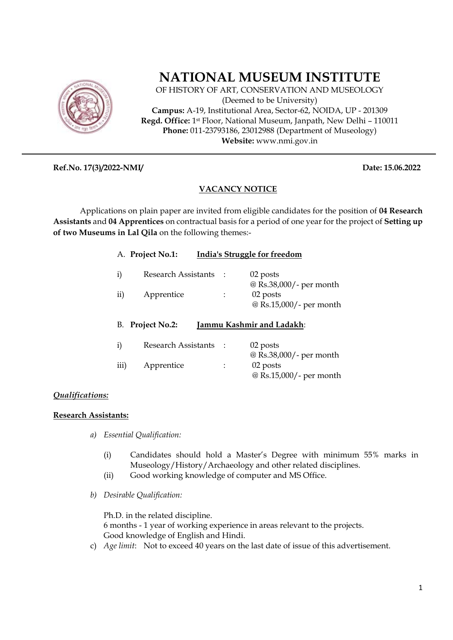

# **NATIONAL MUSEUM INSTITUTE**

OF HISTORY OF ART, CONSERVATION AND MUSEOLOGY (Deemed to be University) **Campus:** A-19, Institutional Area, Sector-62, NOIDA, UP - 201309 **Regd. Office:** 1st Floor, National Museum, Janpath, New Delhi – 110011 **Phone:** 011-23793186, 23012988 (Department of Museology) **Website:** www.nmi.gov.in

**Ref.No. 17(3)/2022-NMI/ Date: 15.06.2022** 

### **VACANCY NOTICE**

Applications on plain paper are invited from eligible candidates for the position of **04 Research Assistants** and **04 Apprentices** on contractual basis for a period of one year for the project of **Setting up of two Museums in Lal Qila** on the following themes:-

|                                                         | A. Project No.1:           | India's Struggle for freedom |                         |
|---------------------------------------------------------|----------------------------|------------------------------|-------------------------|
| i)                                                      | <b>Research Assistants</b> | 02 posts                     | @ Rs.38,000/- per month |
| $\mathbf{ii}$                                           | Apprentice                 | 02 posts                     | @ Rs.15,000/- per month |
| <b>Project No.2:</b><br>Jammu Kashmir and Ladakh:<br>В. |                            |                              |                         |
|                                                         |                            |                              |                         |
| i)                                                      | <b>Research Assistants</b> | 02 posts                     | @ Rs.38,000/- per month |

## *Qualifications:*

## **Research Assistants:**

- *a) Essential Qualification:* 
	- (i) Candidates should hold a Master's Degree with minimum 55% marks in Museology/History/Archaeology and other related disciplines.
	- (ii) Good working knowledge of computer and MS Office.
- *b) Desirable Qualification:*

Ph.D. in the related discipline. 6 months - 1 year of working experience in areas relevant to the projects. Good knowledge of English and Hindi.

c) *Age limit*: Not to exceed 40 years on the last date of issue of this advertisement.